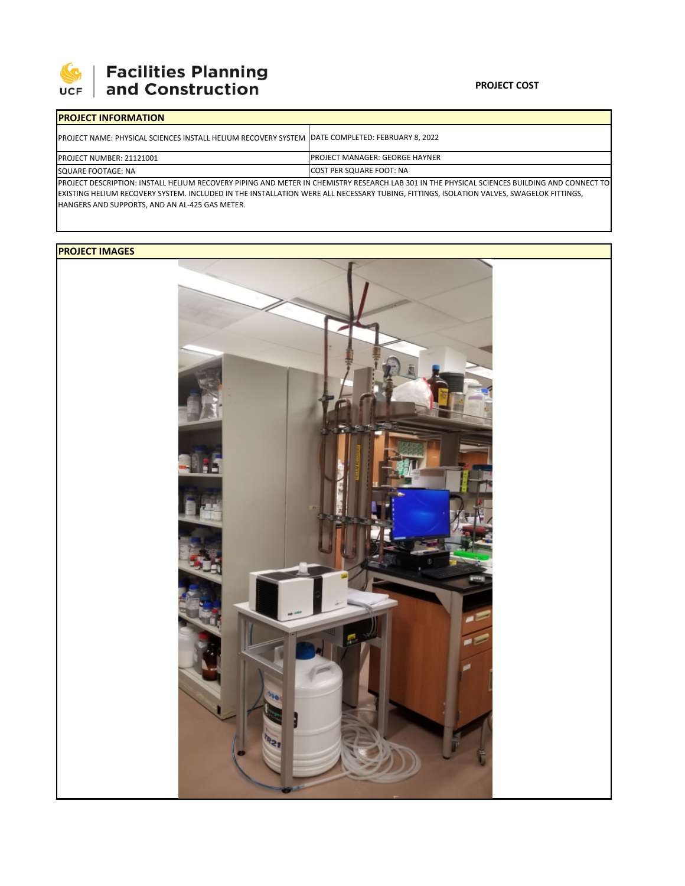

## 

## **PROJECT COST**

| <b>IPROJECT INFORMATION</b>                                                                                                                  |                                        |  |  |  |
|----------------------------------------------------------------------------------------------------------------------------------------------|----------------------------------------|--|--|--|
| IPROJECT NAME: PHYSICAL SCIENCES INSTALL HELIUM RECOVERY SYSTEM   DATE COMPLETED: FEBRUARY 8, 2022                                           |                                        |  |  |  |
| <b>PROJECT NUMBER: 21121001</b>                                                                                                              | <b>IPROJECT MANAGER: GEORGE HAYNER</b> |  |  |  |
| SQUARE FOOTAGE: NA                                                                                                                           | <b>ICOST PER SQUARE FOOT: NA</b>       |  |  |  |
| PROJECT DESCRIPTION: INSTALL HELIUM RECOVERY PIPING AND METER IN CHEMISTRY RESEARCH LAB 301 IN THE PHYSICAL SCIENCES BUILDING AND CONNECT TO |                                        |  |  |  |

EXISTING HELIUM RECOVERY SYSTEM. INCLUDED IN THE INSTALLATION WERE ALL NECESSARY TUBING, FITTINGS, ISOLATION VALVES, SWAGELOK FITTINGS, HANGERS AND SUPPORTS, AND AN AL‐425 GAS METER.

## **PROJECT IMAGES**